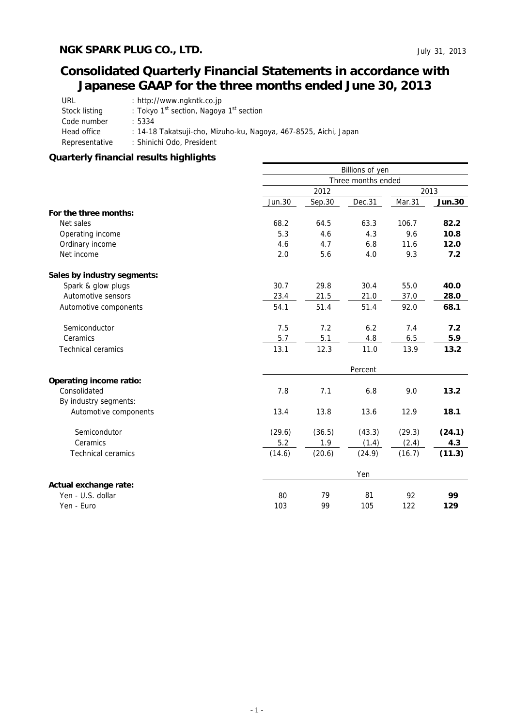# **Consolidated Quarterly Financial Statements in accordance with Japanese GAAP for the three months ended June 30, 2013**

| URL            | : http://www.ngkntk.co.jp                                        |
|----------------|------------------------------------------------------------------|
| Stock listing  | : Tokyo 1 <sup>st</sup> section, Nagoya 1 <sup>st</sup> section  |
| Code number    | : 5334                                                           |
| Head office    | : 14-18 Takatsuji-cho, Mizuho-ku, Nagoya, 467-8525, Aichi, Japan |
| Representative | : Shinichi Odo, President                                        |

## **Quarterly financial results highlights**

|                                | Billions of yen    |         |        |        |               |  |  |  |
|--------------------------------|--------------------|---------|--------|--------|---------------|--|--|--|
|                                | Three months ended |         |        |        |               |  |  |  |
|                                |                    | 2012    |        |        |               |  |  |  |
|                                | <b>Jun.30</b>      | Sep.30  | Dec.31 | Mar.31 | <b>Jun.30</b> |  |  |  |
| For the three months:          |                    |         |        |        |               |  |  |  |
| Net sales                      | 68.2               | 64.5    | 63.3   | 106.7  | 82.2          |  |  |  |
| Operating income               | 5.3                | 4.6     | 4.3    | 9.6    | 10.8          |  |  |  |
| Ordinary income                | 4.6                | 4.7     | 6.8    | 11.6   | 12.0          |  |  |  |
| Net income                     | 2.0                | 5.6     | 4.0    | 9.3    | 7.2           |  |  |  |
| Sales by industry segments:    |                    |         |        |        |               |  |  |  |
| Spark & glow plugs             | 30.7               | 29.8    | 30.4   | 55.0   | 40.0          |  |  |  |
| Automotive sensors             | 23.4               | 21.5    | 21.0   | 37.0   | 28.0          |  |  |  |
| Automotive components          | 54.1               | 51.4    | 51.4   | 92.0   | 68.1          |  |  |  |
| Semiconductor                  | 7.5                | 7.2     | 6.2    | 7.4    | 7.2           |  |  |  |
| Ceramics                       | 5.7                | 5.1     | 4.8    | 6.5    | 5.9           |  |  |  |
| <b>Technical ceramics</b>      | 13.1               | 12.3    | 11.0   | 13.9   | 13.2          |  |  |  |
|                                |                    | Percent |        |        |               |  |  |  |
| <b>Operating income ratio:</b> |                    |         |        |        |               |  |  |  |
| Consolidated                   | 7.8                | 7.1     | 6.8    | 9.0    | 13.2          |  |  |  |
| By industry segments:          |                    |         |        |        |               |  |  |  |
| Automotive components          | 13.4               | 13.8    | 13.6   | 12.9   | 18.1          |  |  |  |
| Semicondutor                   | (29.6)             | (36.5)  | (43.3) | (29.3) | (24.1)        |  |  |  |
| Ceramics                       | 5.2                | 1.9     | (1.4)  | (2.4)  | 4.3           |  |  |  |
| <b>Technical ceramics</b>      | (14.6)             | (20.6)  | (24.9) | (16.7) | (11.3)        |  |  |  |
|                                |                    |         | Yen    |        |               |  |  |  |
| Actual exchange rate:          |                    |         |        |        |               |  |  |  |
| Yen - U.S. dollar              | 80                 | 79      | 81     | 92     | 99            |  |  |  |
| Yen - Euro                     | 103                | 99      | 105    | 122    | 129           |  |  |  |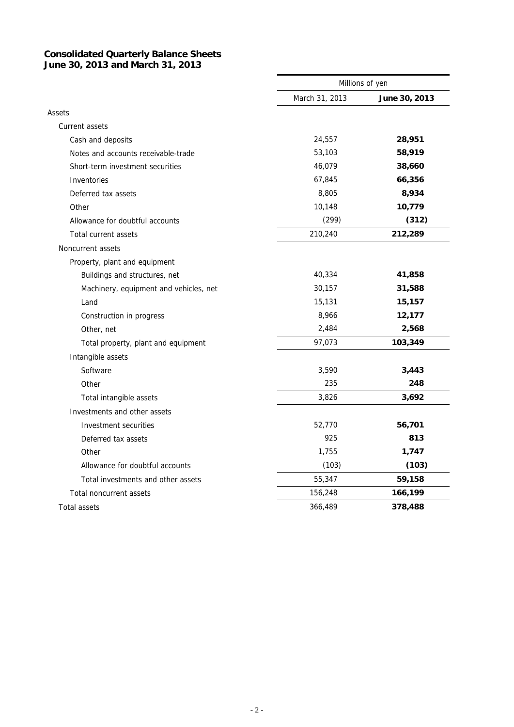#### **Consolidated Quarterly Balance Sheets June 30, 2013 and March 31, 2013**

|                                        | Millions of yen |               |  |
|----------------------------------------|-----------------|---------------|--|
|                                        | March 31, 2013  | June 30, 2013 |  |
| Assets                                 |                 |               |  |
| Current assets                         |                 |               |  |
| Cash and deposits                      | 24,557          | 28,951        |  |
| Notes and accounts receivable-trade    | 53,103          | 58,919        |  |
| Short-term investment securities       | 46,079          | 38,660        |  |
| Inventories                            | 67,845          | 66,356        |  |
| Deferred tax assets                    | 8,805           | 8,934         |  |
| Other                                  | 10,148          | 10,779        |  |
| Allowance for doubtful accounts        | (299)           | (312)         |  |
| Total current assets                   | 210,240         | 212,289       |  |
| Noncurrent assets                      |                 |               |  |
| Property, plant and equipment          |                 |               |  |
| Buildings and structures, net          | 40,334          | 41,858        |  |
| Machinery, equipment and vehicles, net | 30,157          | 31,588        |  |
| Land                                   | 15,131          | 15,157        |  |
| Construction in progress               | 8,966           | 12,177        |  |
| Other, net                             | 2,484           | 2,568         |  |
| Total property, plant and equipment    | 97,073          | 103,349       |  |
| Intangible assets                      |                 |               |  |
| Software                               | 3,590           | 3,443         |  |
| Other                                  | 235             | 248           |  |
| Total intangible assets                | 3,826           | 3,692         |  |
| Investments and other assets           |                 |               |  |
| Investment securities                  | 52,770          | 56,701        |  |
| Deferred tax assets                    | 925             | 813           |  |
| Other                                  | 1,755           | 1,747         |  |
| Allowance for doubtful accounts        | (103)           | (103)         |  |
| Total investments and other assets     | 55,347          | 59,158        |  |
| <b>Total noncurrent assets</b>         | 156,248         | 166,199       |  |
| <b>Total assets</b>                    | 366,489         | 378,488       |  |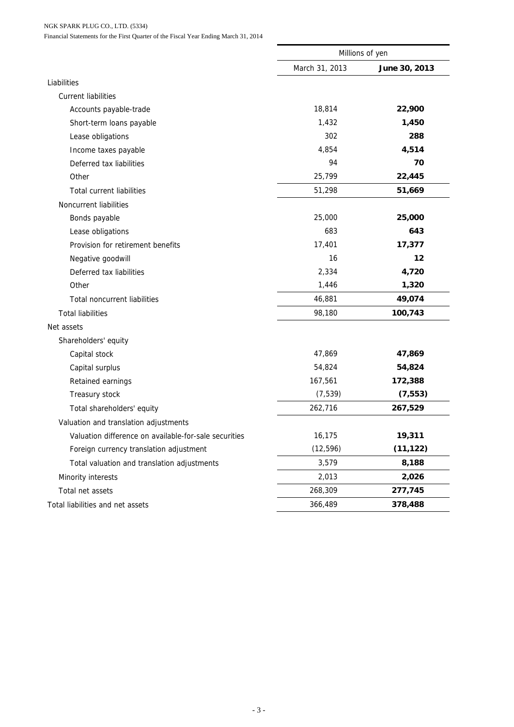NGK SPARK PLUG CO., LTD. (5334)

Financial Statements for the First Quarter of the Fiscal Year Ending March 31, 2014

|                                                       | Millions of yen |               |  |
|-------------------------------------------------------|-----------------|---------------|--|
|                                                       | March 31, 2013  | June 30, 2013 |  |
| Liabilities                                           |                 |               |  |
| <b>Current liabilities</b>                            |                 |               |  |
| Accounts payable-trade                                | 18,814          | 22,900        |  |
| Short-term loans payable                              | 1,432           | 1,450         |  |
| Lease obligations                                     | 302             | 288           |  |
| Income taxes payable                                  | 4,854           | 4,514         |  |
| Deferred tax liabilities                              | 94              | 70            |  |
| Other                                                 | 25,799          | 22,445        |  |
| <b>Total current liabilities</b>                      | 51,298          | 51,669        |  |
| Noncurrent liabilities                                |                 |               |  |
| Bonds payable                                         | 25,000          | 25,000        |  |
| Lease obligations                                     | 683             | 643           |  |
| Provision for retirement benefits                     | 17,401          | 17,377        |  |
| Negative goodwill                                     | 16              | 12            |  |
| Deferred tax liabilities                              | 2,334           | 4,720         |  |
| Other                                                 | 1,446           | 1,320         |  |
| <b>Total noncurrent liabilities</b>                   | 46,881          | 49,074        |  |
| <b>Total liabilities</b>                              | 98,180          | 100,743       |  |
| Net assets                                            |                 |               |  |
| Shareholders' equity                                  |                 |               |  |
| Capital stock                                         | 47,869          | 47,869        |  |
| Capital surplus                                       | 54,824          | 54,824        |  |
| Retained earnings                                     | 167,561         | 172,388       |  |
| Treasury stock                                        | (7, 539)        | (7, 553)      |  |
| Total shareholders' equity                            | 262,716         | 267,529       |  |
| Valuation and translation adjustments                 |                 |               |  |
| Valuation difference on available-for-sale securities | 16,175          | 19,311        |  |
| Foreign currency translation adjustment               | (12, 596)       | (11, 122)     |  |
| Total valuation and translation adjustments           | 3,579           | 8,188         |  |
| Minority interests                                    | 2,013           | 2,026         |  |
| Total net assets                                      | 268,309         | 277,745       |  |
| Total liabilities and net assets                      | 366,489         | 378,488       |  |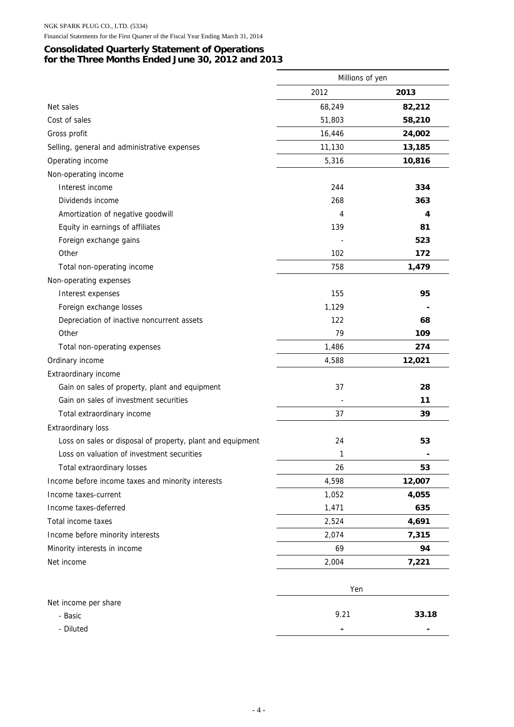#### Financial Statements for the First Quarter of the Fiscal Year Ending March 31, 2014

## **Consolidated Quarterly Statement of Operations for the Three Months Ended June 30, 2012 and 2013**

|                                                            | Millions of yen |        |
|------------------------------------------------------------|-----------------|--------|
|                                                            | 2012            | 2013   |
| Net sales                                                  | 68,249          | 82,212 |
| Cost of sales                                              | 51,803          | 58,210 |
| Gross profit                                               | 16,446          | 24,002 |
| Selling, general and administrative expenses               | 11,130          | 13,185 |
| Operating income                                           | 5,316           | 10,816 |
| Non-operating income                                       |                 |        |
| Interest income                                            | 244             | 334    |
| Dividends income                                           | 268             | 363    |
| Amortization of negative goodwill                          | 4               | 4      |
| Equity in earnings of affiliates                           | 139             | 81     |
| Foreign exchange gains                                     |                 | 523    |
| Other                                                      | 102             | 172    |
| Total non-operating income                                 | 758             | 1,479  |
| Non-operating expenses                                     |                 |        |
| Interest expenses                                          | 155             | 95     |
| Foreign exchange losses                                    | 1,129           |        |
| Depreciation of inactive noncurrent assets                 | 122             | 68     |
| Other                                                      | 79              | 109    |
| Total non-operating expenses                               | 1,486           | 274    |
| Ordinary income                                            | 4,588           | 12,021 |
| Extraordinary income                                       |                 |        |
| Gain on sales of property, plant and equipment             | 37              | 28     |
| Gain on sales of investment securities                     |                 | 11     |
| Total extraordinary income                                 | 37              | 39     |
| <b>Extraordinary loss</b>                                  |                 |        |
| Loss on sales or disposal of property, plant and equipment | 24              | 53     |
| Loss on valuation of investment securities                 | 1               |        |
| Total extraordinary losses                                 | 26              | 53     |
| Income before income taxes and minority interests          | 4,598           | 12,007 |
| Income taxes-current                                       | 1,052           | 4,055  |
| Income taxes-deferred                                      | 1,471           | 635    |
| Total income taxes                                         | 2,524           | 4,691  |
| Income before minority interests                           | 2,074           | 7,315  |
| Minority interests in income                               | 69              | 94     |
| Net income                                                 | 2,004           | 7,221  |
|                                                            |                 |        |
|                                                            | Yen             |        |
| Net income per share                                       |                 |        |
| - Basic                                                    | 9.21            | 33.18  |
| - Diluted                                                  |                 |        |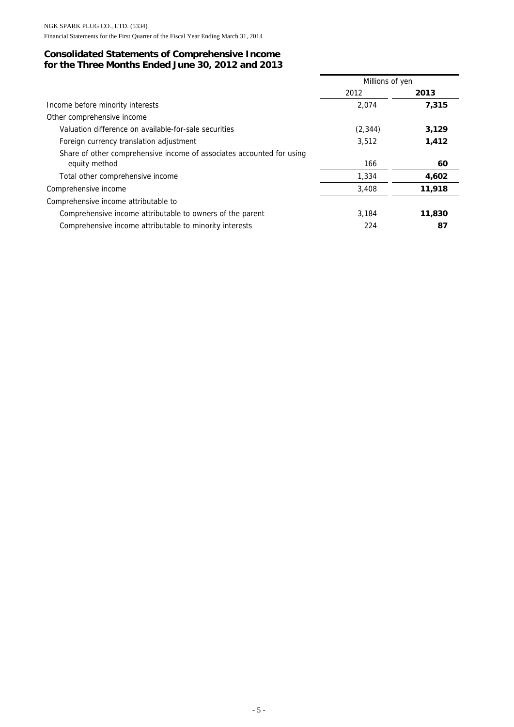## **Consolidated Statements of Comprehensive Income for the Three Months Ended June 30, 2012 and 2013**

|                                                                       | Millions of yen |        |  |
|-----------------------------------------------------------------------|-----------------|--------|--|
|                                                                       | 2012            | 2013   |  |
| Income before minority interests                                      | 2.074           | 7,315  |  |
| Other comprehensive income                                            |                 |        |  |
| Valuation difference on available-for-sale securities                 | (2, 344)        | 3,129  |  |
| Foreign currency translation adjustment                               | 3,512           | 1,412  |  |
| Share of other comprehensive income of associates accounted for using |                 |        |  |
| equity method                                                         | 166             | 60     |  |
| Total other comprehensive income                                      | 1,334           | 4,602  |  |
| Comprehensive income                                                  | 3,408           | 11,918 |  |
| Comprehensive income attributable to                                  |                 |        |  |
| Comprehensive income attributable to owners of the parent             | 3.184           | 11,830 |  |
| Comprehensive income attributable to minority interests               | 224             | 87     |  |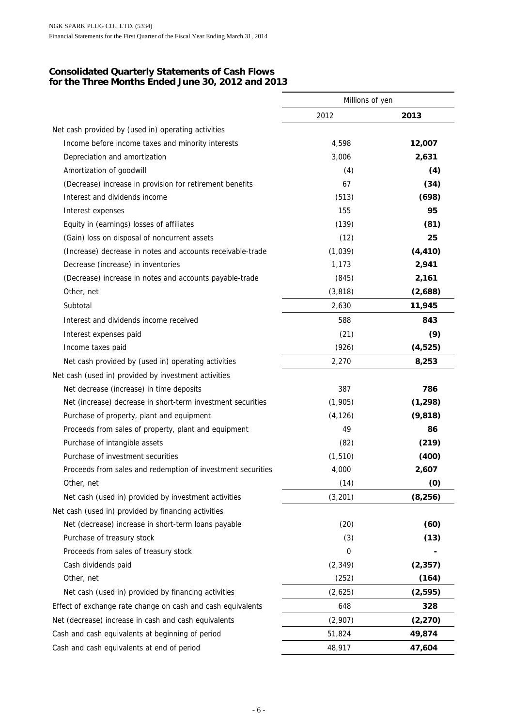### **Consolidated Quarterly Statements of Cash Flows for the Three Months Ended June 30, 2012 and 2013**

|                                                             | Millions of yen |          |  |
|-------------------------------------------------------------|-----------------|----------|--|
|                                                             | 2012            | 2013     |  |
| Net cash provided by (used in) operating activities         |                 |          |  |
| Income before income taxes and minority interests           | 4,598           | 12,007   |  |
| Depreciation and amortization                               | 3,006           | 2,631    |  |
| Amortization of goodwill                                    | (4)             | (4)      |  |
| (Decrease) increase in provision for retirement benefits    | 67              | (34)     |  |
| Interest and dividends income                               | (513)           | (698)    |  |
| Interest expenses                                           | 155             | 95       |  |
| Equity in (earnings) losses of affiliates                   | (139)           | (81)     |  |
| (Gain) loss on disposal of noncurrent assets                | (12)            | 25       |  |
| (Increase) decrease in notes and accounts receivable-trade  | (1,039)         | (4, 410) |  |
| Decrease (increase) in inventories                          | 1,173           | 2,941    |  |
| (Decrease) increase in notes and accounts payable-trade     | (845)           | 2,161    |  |
| Other, net                                                  | (3, 818)        | (2,688)  |  |
| Subtotal                                                    | 2,630           | 11,945   |  |
| Interest and dividends income received                      | 588             | 843      |  |
| Interest expenses paid                                      | (21)            | (9)      |  |
| Income taxes paid                                           | (926)           | (4,525)  |  |
| Net cash provided by (used in) operating activities         | 2,270           | 8,253    |  |
| Net cash (used in) provided by investment activities        |                 |          |  |
| Net decrease (increase) in time deposits                    | 387             | 786      |  |
| Net (increase) decrease in short-term investment securities | (1,905)         | (1, 298) |  |
| Purchase of property, plant and equipment                   | (4, 126)        | (9, 818) |  |
| Proceeds from sales of property, plant and equipment        | 49              | 86       |  |
| Purchase of intangible assets                               | (82)            | (219)    |  |
| Purchase of investment securities                           | (1, 510)        | (400)    |  |
| Proceeds from sales and redemption of investment securities | 4,000           | 2,607    |  |
| Other, net                                                  | (14)            | (0)      |  |
| Net cash (used in) provided by investment activities        | (3,201)         | (8, 256) |  |
| Net cash (used in) provided by financing activities         |                 |          |  |
| Net (decrease) increase in short-term loans payable         | (20)            | (60)     |  |
| Purchase of treasury stock                                  | (3)             | (13)     |  |
| Proceeds from sales of treasury stock                       | 0               |          |  |
| Cash dividends paid                                         | (2, 349)        | (2, 357) |  |
| Other, net                                                  | (252)           | (164)    |  |
| Net cash (used in) provided by financing activities         | (2,625)         | (2, 595) |  |
| Effect of exchange rate change on cash and cash equivalents | 648             | 328      |  |
| Net (decrease) increase in cash and cash equivalents        | (2,907)         | (2, 270) |  |
| Cash and cash equivalents at beginning of period            | 51,824          | 49,874   |  |
| Cash and cash equivalents at end of period                  | 48,917          | 47,604   |  |